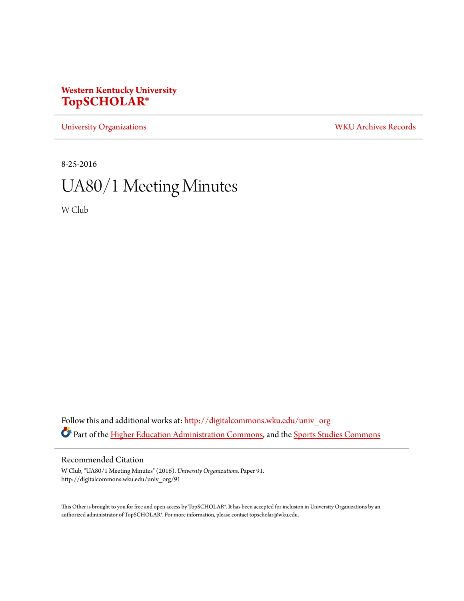# **Western Kentucky University [TopSCHOLAR®](http://digitalcommons.wku.edu?utm_source=digitalcommons.wku.edu%2Funiv_org%2F91&utm_medium=PDF&utm_campaign=PDFCoverPages)**

[University Organizations](http://digitalcommons.wku.edu/univ_org?utm_source=digitalcommons.wku.edu%2Funiv_org%2F91&utm_medium=PDF&utm_campaign=PDFCoverPages) [WKU Archives Records](http://digitalcommons.wku.edu/dlsc_ua_records?utm_source=digitalcommons.wku.edu%2Funiv_org%2F91&utm_medium=PDF&utm_campaign=PDFCoverPages)

8-25-2016

# UA80/1 Meeting Minutes

W Club

Follow this and additional works at: [http://digitalcommons.wku.edu/univ\\_org](http://digitalcommons.wku.edu/univ_org?utm_source=digitalcommons.wku.edu%2Funiv_org%2F91&utm_medium=PDF&utm_campaign=PDFCoverPages) Part of the [Higher Education Administration Commons](http://network.bepress.com/hgg/discipline/791?utm_source=digitalcommons.wku.edu%2Funiv_org%2F91&utm_medium=PDF&utm_campaign=PDFCoverPages), and the [Sports Studies Commons](http://network.bepress.com/hgg/discipline/1198?utm_source=digitalcommons.wku.edu%2Funiv_org%2F91&utm_medium=PDF&utm_campaign=PDFCoverPages)

## Recommended Citation

W Club, "UA80/1 Meeting Minutes" (2016). *University Organizations.* Paper 91. http://digitalcommons.wku.edu/univ\_org/91

This Other is brought to you for free and open access by TopSCHOLAR®. It has been accepted for inclusion in University Organizations by an authorized administrator of TopSCHOLAR®. For more information, please contact topscholar@wku.edu.